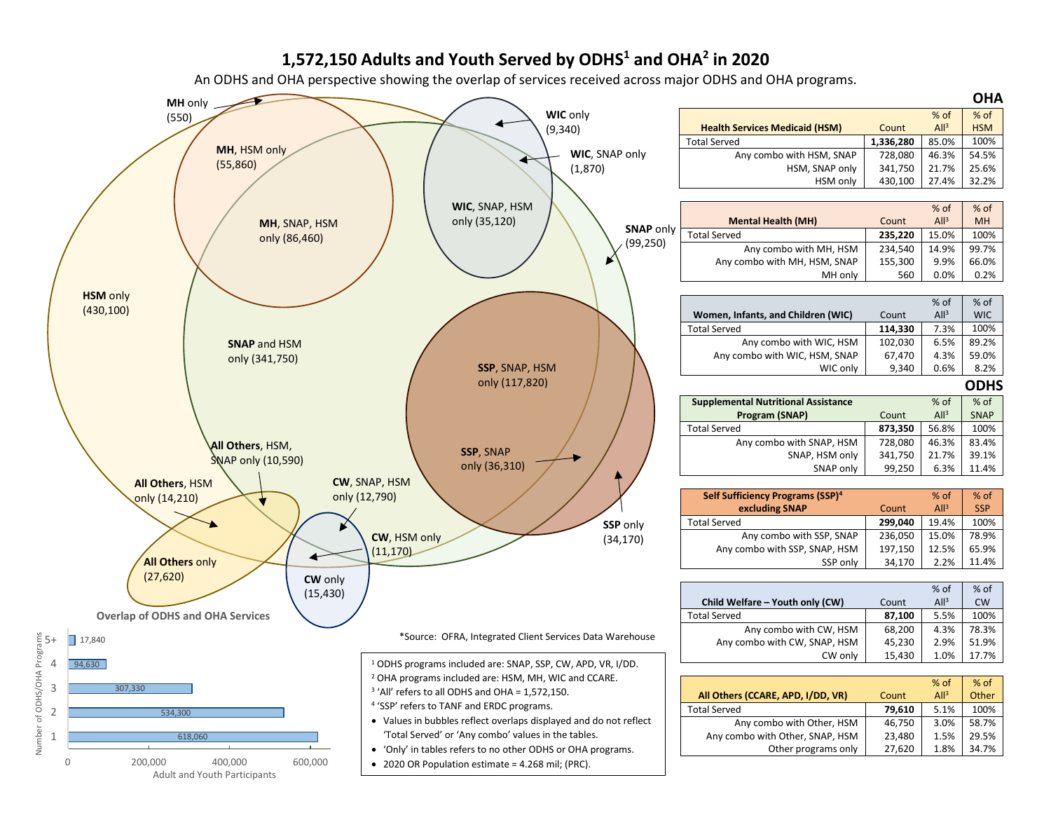## **1,572,150 Adults and Youth Served by ODHS1 and OHA2 in 2020**

An ODHS and OHA perspective showing the overlap of services received across major ODHS and OHA programs.



Number of ODHS/OHA Programs

Number

of ODHS/OHA Progr

ams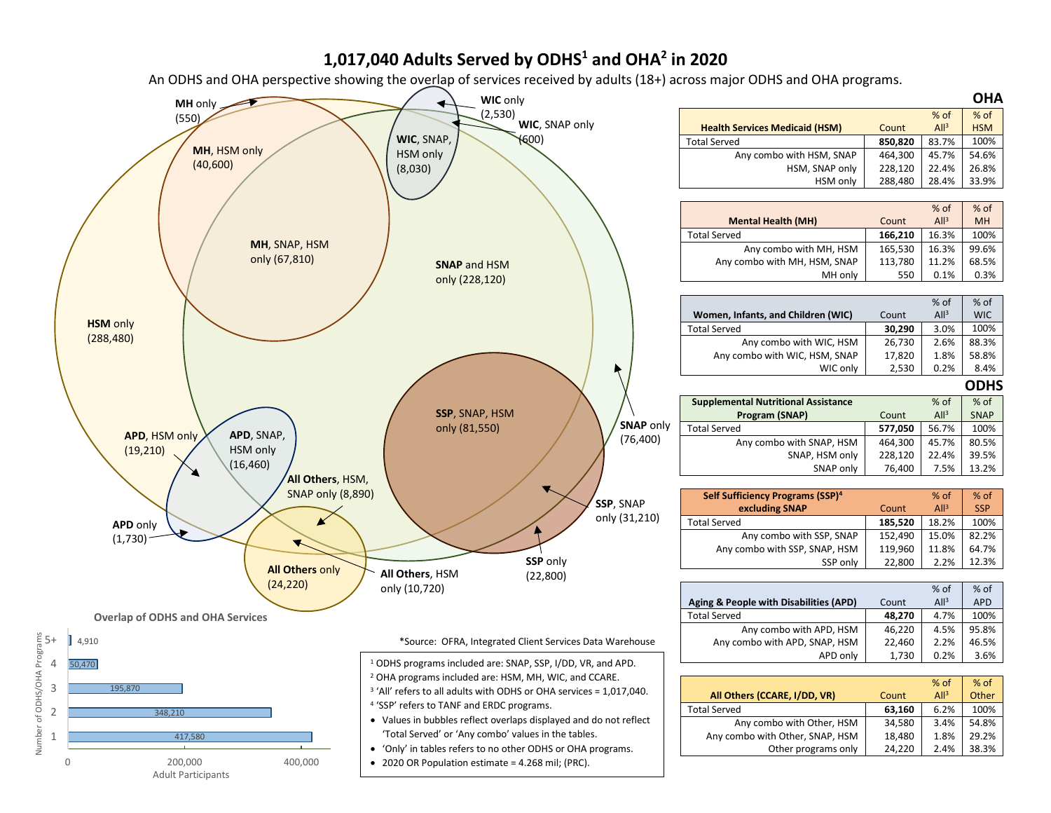## **1,017,040 Adults Served by ODHS1 and OHA2 in 2020**

An ODHS and OHA perspective showing the overlap of services received by adults (18+) across major ODHS and OHA programs.

**OHA**

% of **HSM** 

% of MH

% of WIC

% of SNAP

> % of **SSP**

% of APD

% of **Other** 

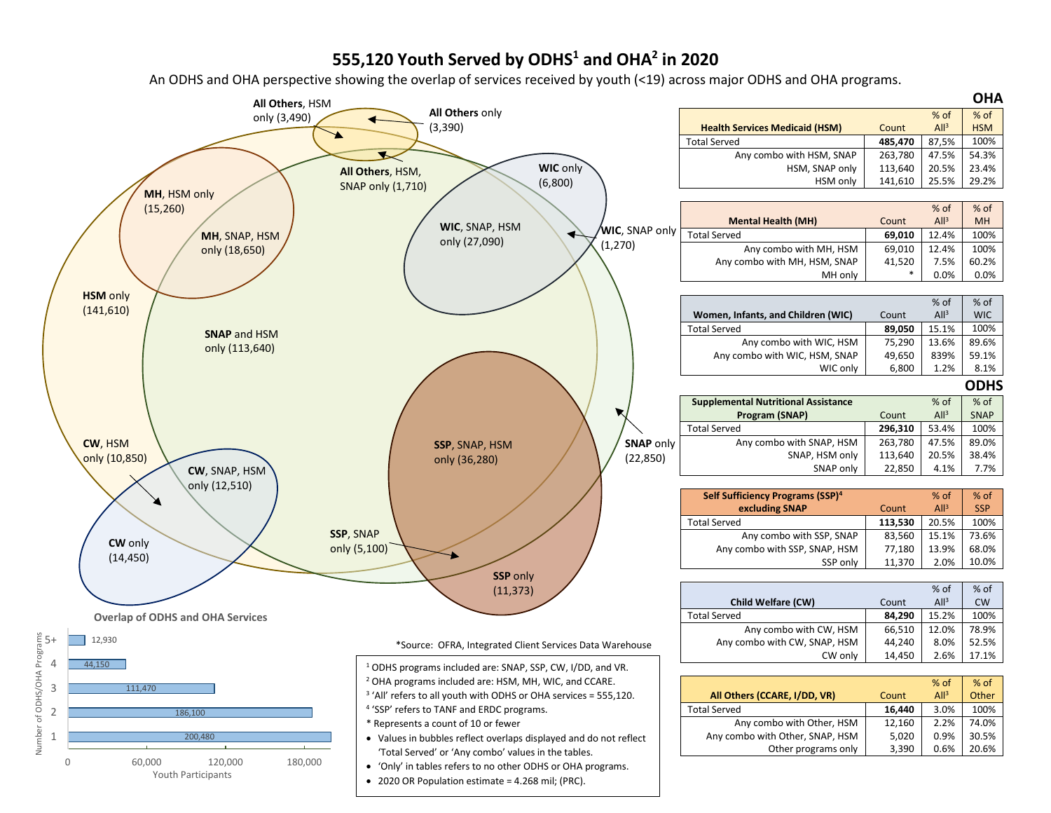## **555,120 Youth Served by ODHS1 and OHA2 in 2020**

An ODHS and OHA perspective showing the overlap of services received by youth (<19) across major ODHS and OHA programs.